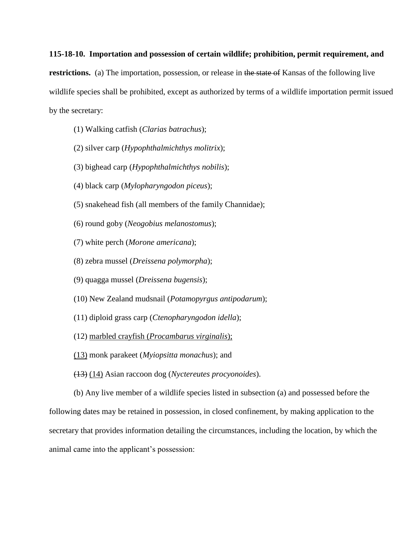## **115-18-10. Importation and possession of certain wildlife; prohibition, permit requirement, and**

**restrictions.** (a) The importation, possession, or release in the state of Kansas of the following live wildlife species shall be prohibited, except as authorized by terms of a wildlife importation permit issued by the secretary:

- (1) Walking catfish (*Clarias batrachus*);
- (2) silver carp (*Hypophthalmichthys molitrix*);
- (3) bighead carp (*Hypophthalmichthys nobilis*);
- (4) black carp (*Mylopharyngodon piceus*);
- (5) snakehead fish (all members of the family Channidae);
- (6) round goby (*Neogobius melanostomus*);
- (7) white perch (*Morone americana*);
- (8) zebra mussel (*Dreissena polymorpha*);
- (9) quagga mussel (*Dreissena bugensis*);
- (10) New Zealand mudsnail (*Potamopyrgus antipodarum*);
- (11) diploid grass carp (*Ctenopharyngodon idella*);
- (12) marbled crayfish (*Procambarus virginalis*);
- (13) monk parakeet (*Myiopsitta monachus*); and
- (13) (14) Asian raccoon dog (*Nyctereutes procyonoides*).

(b) Any live member of a wildlife species listed in subsection (a) and possessed before the following dates may be retained in possession, in closed confinement, by making application to the secretary that provides information detailing the circumstances, including the location, by which the animal came into the applicant's possession: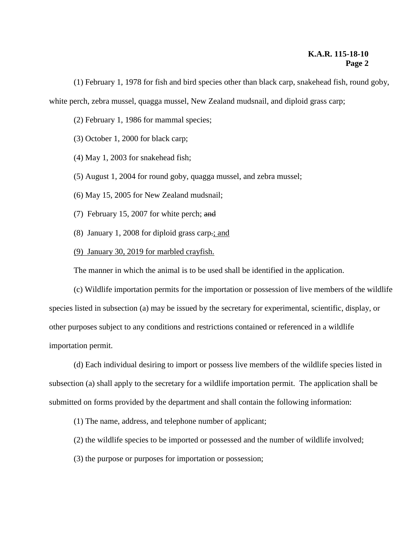(1) February 1, 1978 for fish and bird species other than black carp, snakehead fish, round goby, white perch, zebra mussel, quagga mussel, New Zealand mudsnail, and diploid grass carp;

(2) February 1, 1986 for mammal species;

(3) October 1, 2000 for black carp;

(4) May 1, 2003 for snakehead fish;

(5) August 1, 2004 for round goby, quagga mussel, and zebra mussel;

(6) May 15, 2005 for New Zealand mudsnail;

(7) February 15, 2007 for white perch; and

(8) January 1, 2008 for diploid grass carp.; and

(9) January 30, 2019 for marbled crayfish.

The manner in which the animal is to be used shall be identified in the application.

(c) Wildlife importation permits for the importation or possession of live members of the wildlife species listed in subsection (a) may be issued by the secretary for experimental, scientific, display, or other purposes subject to any conditions and restrictions contained or referenced in a wildlife importation permit.

(d) Each individual desiring to import or possess live members of the wildlife species listed in subsection (a) shall apply to the secretary for a wildlife importation permit. The application shall be submitted on forms provided by the department and shall contain the following information:

(1) The name, address, and telephone number of applicant;

(2) the wildlife species to be imported or possessed and the number of wildlife involved;

(3) the purpose or purposes for importation or possession;